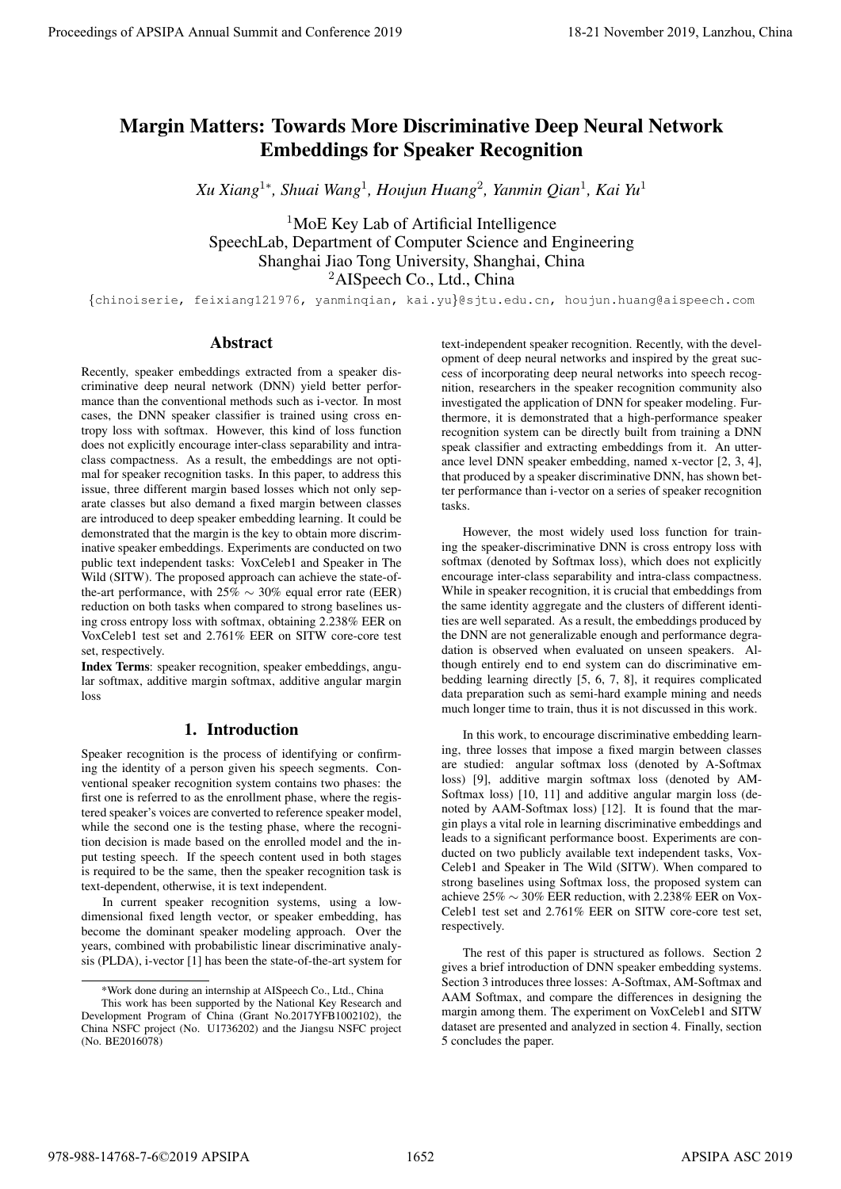# Margin Matters: Towards More Discriminative Deep Neural Network Embeddings for Speaker Recognition

*Xu Xiang*<sup>1</sup><sup>∗</sup> *, Shuai Wang*<sup>1</sup> *, Houjun Huang*<sup>2</sup> *, Yanmin Qian*<sup>1</sup> *, Kai Yu*<sup>1</sup>

<sup>1</sup>MoE Key Lab of Artificial Intelligence SpeechLab, Department of Computer Science and Engineering Shanghai Jiao Tong University, Shanghai, China <sup>2</sup>AISpeech Co., Ltd., China

{chinoiserie, feixiang121976, yanminqian, kai.yu}@sjtu.edu.cn, houjun.huang@aispeech.com

# Abstract

Recently, speaker embeddings extracted from a speaker discriminative deep neural network (DNN) yield better performance than the conventional methods such as i-vector. In most cases, the DNN speaker classifier is trained using cross entropy loss with softmax. However, this kind of loss function does not explicitly encourage inter-class separability and intraclass compactness. As a result, the embeddings are not optimal for speaker recognition tasks. In this paper, to address this issue, three different margin based losses which not only separate classes but also demand a fixed margin between classes are introduced to deep speaker embedding learning. It could be demonstrated that the margin is the key to obtain more discriminative speaker embeddings. Experiments are conducted on two public text independent tasks: VoxCeleb1 and Speaker in The Wild (SITW). The proposed approach can achieve the state-ofthe-art performance, with 25%  $\sim$  30% equal error rate (EER) reduction on both tasks when compared to strong baselines using cross entropy loss with softmax, obtaining 2.238% EER on VoxCeleb1 test set and 2.761% EER on SITW core-core test set, respectively. **Proceedings of APSIPA Annual Summit and Conference 2019**<br> **Margin Matters: Towards More Discriminative Deep Neural Network<br>
Emplorities of Specific Summit and Conference 2019<br>
2. The specific Summit and Conference 2019<br>** 

Index Terms: speaker recognition, speaker embeddings, angular softmax, additive margin softmax, additive angular margin loss

# 1. Introduction

Speaker recognition is the process of identifying or confirming the identity of a person given his speech segments. Conventional speaker recognition system contains two phases: the first one is referred to as the enrollment phase, where the registered speaker's voices are converted to reference speaker model, while the second one is the testing phase, where the recognition decision is made based on the enrolled model and the input testing speech. If the speech content used in both stages is required to be the same, then the speaker recognition task is text-dependent, otherwise, it is text independent.

In current speaker recognition systems, using a lowdimensional fixed length vector, or speaker embedding, has become the dominant speaker modeling approach. Over the years, combined with probabilistic linear discriminative analysis (PLDA), i-vector [1] has been the state-of-the-art system for text-independent speaker recognition. Recently, with the development of deep neural networks and inspired by the great success of incorporating deep neural networks into speech recognition, researchers in the speaker recognition community also investigated the application of DNN for speaker modeling. Furthermore, it is demonstrated that a high-performance speaker recognition system can be directly built from training a DNN speak classifier and extracting embeddings from it. An utterance level DNN speaker embedding, named x-vector [2, 3, 4], that produced by a speaker discriminative DNN, has shown better performance than i-vector on a series of speaker recognition tasks.

However, the most widely used loss function for training the speaker-discriminative DNN is cross entropy loss with softmax (denoted by Softmax loss), which does not explicitly encourage inter-class separability and intra-class compactness. While in speaker recognition, it is crucial that embeddings from the same identity aggregate and the clusters of different identities are well separated. As a result, the embeddings produced by the DNN are not generalizable enough and performance degradation is observed when evaluated on unseen speakers. Although entirely end to end system can do discriminative embedding learning directly [5, 6, 7, 8], it requires complicated data preparation such as semi-hard example mining and needs much longer time to train, thus it is not discussed in this work.

In this work, to encourage discriminative embedding learning, three losses that impose a fixed margin between classes are studied: angular softmax loss (denoted by A-Softmax loss) [9], additive margin softmax loss (denoted by AM-Softmax loss) [10, 11] and additive angular margin loss (denoted by AAM-Softmax loss) [12]. It is found that the margin plays a vital role in learning discriminative embeddings and leads to a significant performance boost. Experiments are conducted on two publicly available text independent tasks, Vox-Celeb1 and Speaker in The Wild (SITW). When compared to strong baselines using Softmax loss, the proposed system can achieve 25%  $\sim$  30% EER reduction, with 2.238% EER on Vox-Celeb1 test set and 2.761% EER on SITW core-core test set, respectively.

The rest of this paper is structured as follows. Section 2 gives a brief introduction of DNN speaker embedding systems. Section 3 introduces three losses: A-Softmax, AM-Softmax and AAM Softmax, and compare the differences in designing the margin among them. The experiment on VoxCeleb1 and SITW dataset are presented and analyzed in section 4. Finally, section 5 concludes the paper.

<sup>\*</sup>Work done during an internship at AISpeech Co., Ltd., China

This work has been supported by the National Key Research and Development Program of China (Grant No.2017YFB1002102), the China NSFC project (No. U1736202) and the Jiangsu NSFC project (No. BE2016078)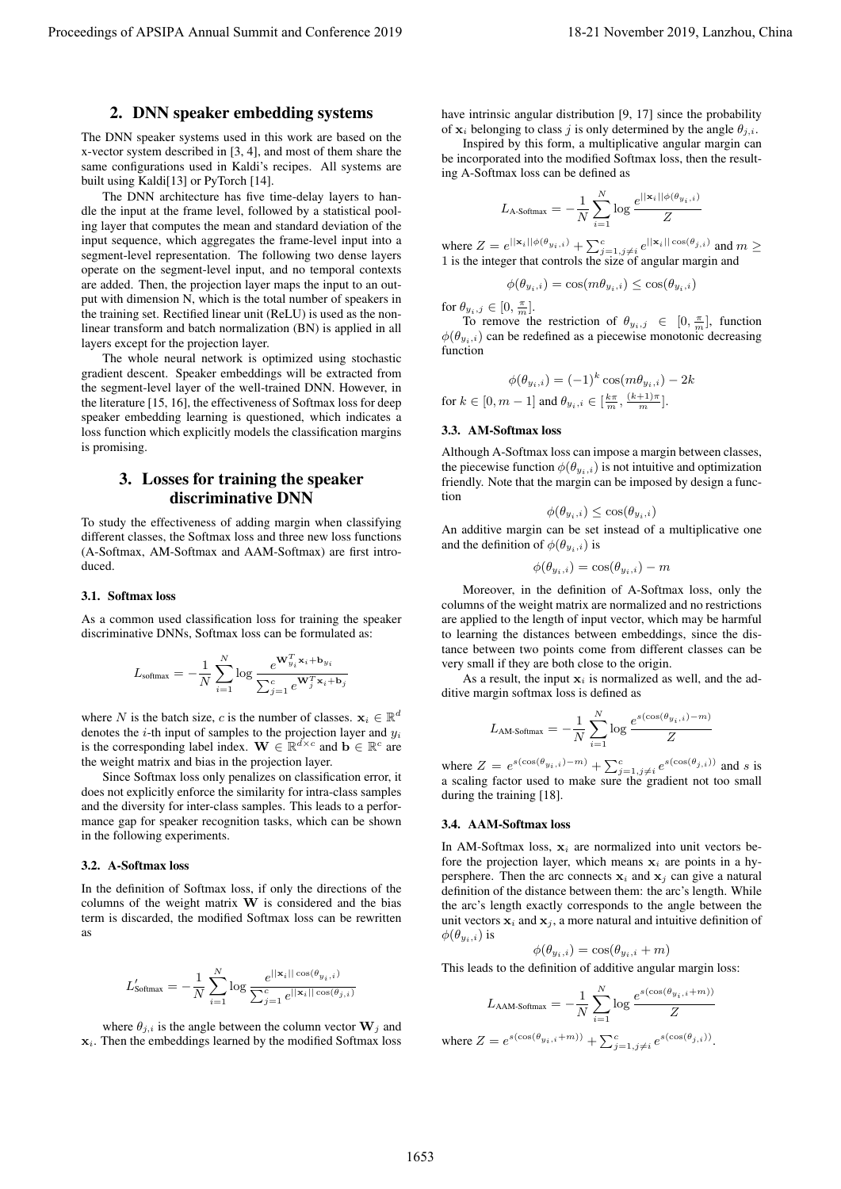## 2. DNN speaker embedding systems

The DNN speaker systems used in this work are based on the x-vector system described in [3, 4], and most of them share the same configurations used in Kaldi's recipes. All systems are built using Kaldi[13] or PyTorch [14].

The DNN architecture has five time-delay layers to handle the input at the frame level, followed by a statistical pooling layer that computes the mean and standard deviation of the input sequence, which aggregates the frame-level input into a segment-level representation. The following two dense layers operate on the segment-level input, and no temporal contexts are added. Then, the projection layer maps the input to an output with dimension N, which is the total number of speakers in the training set. Rectified linear unit (ReLU) is used as the nonlinear transform and batch normalization (BN) is applied in all layers except for the projection layer. Proceedings of APSIPA Annual Summit and Conference 2019<br>
2. DNN sppeller exchange in the conference 2019 and the conference 2013 and the conference 2013 and the conference 2013 and the conference 2013 and the conference 2

The whole neural network is optimized using stochastic gradient descent. Speaker embeddings will be extracted from the segment-level layer of the well-trained DNN. However, in the literature [15, 16], the effectiveness of Softmax loss for deep speaker embedding learning is questioned, which indicates a loss function which explicitly models the classification margins is promising.

## 3. Losses for training the speaker discriminative DNN

To study the effectiveness of adding margin when classifying different classes, the Softmax loss and three new loss functions (A-Softmax, AM-Softmax and AAM-Softmax) are first introduced.

## 3.1. Softmax loss

As a common used classification loss for training the speaker discriminative DNNs, Softmax loss can be formulated as:

$$
L_{\text{softmax}} = -\frac{1}{N}\sum_{i=1}^{N}\log \frac{e^{\mathbf{W}_{y_i}^T\mathbf{x}_i + \mathbf{b}_{y_i}}}{\sum_{j=1}^{c} e^{\mathbf{W}_{j}^T\mathbf{x}_i + \mathbf{b}_{j}}}
$$

where N is the batch size, c is the number of classes.  $x_i \in \mathbb{R}^d$ denotes the *i*-th input of samples to the projection layer and  $y_i$ is the corresponding label index.  $\mathbf{W} \in \mathbb{R}^{d \times c}$  and  $\mathbf{b} \in \mathbb{R}^c$  are the weight matrix and bias in the projection layer.

Since Softmax loss only penalizes on classification error, it does not explicitly enforce the similarity for intra-class samples and the diversity for inter-class samples. This leads to a performance gap for speaker recognition tasks, which can be shown in the following experiments.

#### 3.2. A-Softmax loss

In the definition of Softmax loss, if only the directions of the columns of the weight matrix  $\bf{W}$  is considered and the bias term is discarded, the modified Softmax loss can be rewritten as

$$
L'_{\text{Softmax}} = -\frac{1}{N} \sum_{i=1}^{N} \log \frac{e^{||\mathbf{x}_i||\cos(\theta_{y_i,i})}}{\sum_{j=1}^{c} e^{||\mathbf{x}_i||\cos(\theta_{j,i})}}
$$

where  $\theta_{j,i}$  is the angle between the column vector  $\mathbf{W}_j$  and  $x_i$ . Then the embeddings learned by the modified Softmax loss

have intrinsic angular distribution [9, 17] since the probability of  $x_i$  belonging to class j is only determined by the angle  $\theta_{i,i}$ .

Inspired by this form, a multiplicative angular margin can be incorporated into the modified Softmax loss, then the resulting A-Softmax loss can be defined as

$$
L_{\text{A-Softmax}} = -\frac{1}{N}\sum_{i=1}^{N}\log\frac{e^{||\mathbf{x}_i||\phi(\theta_{y_i,i})}}{Z}
$$

where  $Z = e^{\|\mathbf{x}_i\| \phi(\theta_{y_i,i})} + \sum_{j=1, j \neq i}^{c} e^{\|\mathbf{x}_i\| \cos(\theta_{j,i})}$  and  $m \geq$ 1 is the integer that controls the size of angular margin and

$$
\phi(\theta_{y_i,i}) = \cos(m\theta_{y_i,i}) \leq \cos(\theta_{y_i,i})
$$

for  $\theta_{y_i,j} \in [0, \frac{\pi}{m}].$ 

To remove the restriction of  $\theta_{y_i,j} \in [0, \frac{\pi}{m}],$  function  $\phi(\theta_{u_i,i})$  can be redefined as a piecewise monotonic decreasing function

$$
\phi(\theta_{y_i,i}) = (-1)^k \cos(m\theta_{y_i,i}) - 2k
$$
\n
$$
\text{for } k \in [0, m-1] \text{ and } \theta_{y_i,i} \in [\frac{k\pi}{m}, \frac{(k+1)\pi}{m}].
$$

#### 3.3. AM-Softmax loss

Although A-Softmax loss can impose a margin between classes, the piecewise function  $\phi(\theta_{u_i,i})$  is not intuitive and optimization friendly. Note that the margin can be imposed by design a function

$$
\phi(\theta_{y_i,i}) \le \cos(\theta_{y_i,i})
$$

An additive margin can be set instead of a multiplicative one and the definition of  $\phi(\theta_{y_i,i})$  is

$$
\phi(\theta_{y_i,i}) = \cos(\theta_{y_i,i}) - m
$$

Moreover, in the definition of A-Softmax loss, only the columns of the weight matrix are normalized and no restrictions are applied to the length of input vector, which may be harmful to learning the distances between embeddings, since the distance between two points come from different classes can be very small if they are both close to the origin.

As a result, the input  $x_i$  is normalized as well, and the additive margin softmax loss is defined as

$$
L_{\text{AM-Sofimax}} = -\frac{1}{N} \sum_{i=1}^{N} \log \frac{e^{s(\cos(\theta_{y_i,i}) - m)}}{Z}
$$

where  $Z = e^{s(\cos(\theta_{y_i,i})-m)} + \sum_{j=1, j\neq i}^{c} e^{s(\cos(\theta_{j,i}))}$  and s is a scaling factor used to make sure the gradient not too small during the training [18].

## 3.4. AAM-Softmax loss

In AM-Softmax loss,  $x_i$  are normalized into unit vectors before the projection layer, which means  $x_i$  are points in a hypersphere. Then the arc connects  $x_i$  and  $x_j$  can give a natural definition of the distance between them: the arc's length. While the arc's length exactly corresponds to the angle between the unit vectors  $x_i$  and  $x_j$ , a more natural and intuitive definition of  $\phi(\theta_{u_i,i})$  is

$$
\phi(\theta_{y_i,i}) = \cos(\theta_{y_i,i} + m)
$$

This leads to the definition of additive angular margin loss:

$$
L_{\text{AAM-Sofimax}} = -\frac{1}{N} \sum_{i=1}^{N} \log \frac{e^{s(\cos(\theta_{y_i,i}+m))}}{Z}
$$

where 
$$
Z = e^{s(\cos(\theta_{y_i,i} + m))} + \sum_{j=1, j \neq i}^{c} e^{s(\cos(\theta_{j,i}))}
$$
.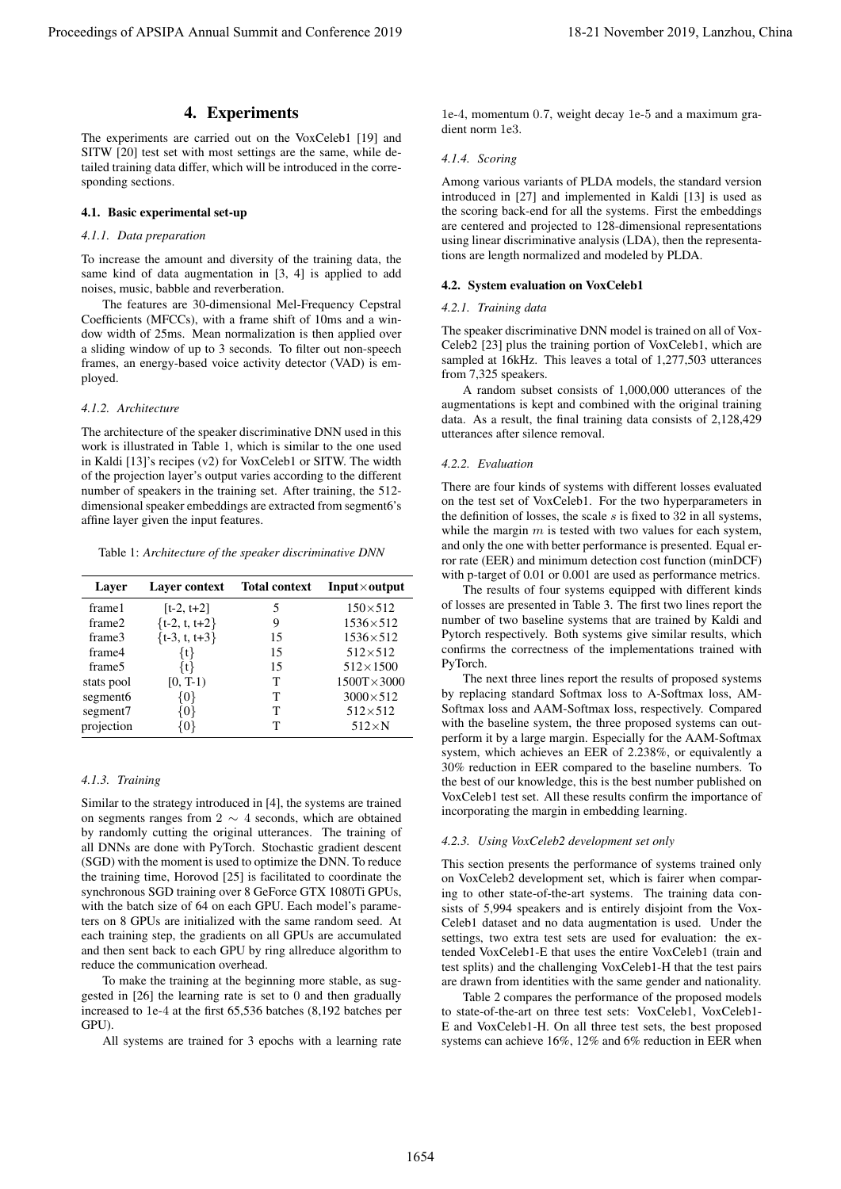## 4. Experiments

The experiments are carried out on the VoxCeleb1 [19] and SITW [20] test set with most settings are the same, while detailed training data differ, which will be introduced in the corresponding sections.

#### 4.1. Basic experimental set-up

## *4.1.1. Data preparation*

To increase the amount and diversity of the training data, the same kind of data augmentation in [3, 4] is applied to add noises, music, babble and reverberation.

The features are 30-dimensional Mel-Frequency Cepstral Coefficients (MFCCs), with a frame shift of 10ms and a window width of 25ms. Mean normalization is then applied over a sliding window of up to 3 seconds. To filter out non-speech frames, an energy-based voice activity detector (VAD) is employed.

## *4.1.2. Architecture*

The architecture of the speaker discriminative DNN used in this work is illustrated in Table 1, which is similar to the one used in Kaldi [13]'s recipes (v2) for VoxCeleb1 or SITW. The width of the projection layer's output varies according to the different number of speakers in the training set. After training, the 512 dimensional speaker embeddings are extracted from segment6's affine layer given the input features.

Table 1: *Architecture of the speaker discriminative DNN*

| Laver              | Layer context     | <b>Total context</b> | $Input \times output$ |
|--------------------|-------------------|----------------------|-----------------------|
| frame1             | $[t-2, t+2]$      | 5                    | $150 \times 512$      |
| frame2             | $\{t-2, t, t+2\}$ | 9                    | $1536 \times 512$     |
| frame3             | $\{t-3, t, t+3\}$ | 15                   | $1536 \times 512$     |
| frame4             | $\{t\}$           | 15                   | $512\times512$        |
| frame <sub>5</sub> | {t}               | 15                   | $512\times1500$       |
| stats pool         | $[0, T-1)$        | т                    | $1500T \times 3000$   |
| segment6           | {0}               | т                    | $3000\times512$       |
| segment7           | 01                | т                    | $512\times512$        |
| projection         |                   |                      | $512\times N$         |

## *4.1.3. Training*

Similar to the strategy introduced in [4], the systems are trained on segments ranges from  $2 \sim 4$  seconds, which are obtained by randomly cutting the original utterances. The training of all DNNs are done with PyTorch. Stochastic gradient descent (SGD) with the moment is used to optimize the DNN. To reduce the training time, Horovod [25] is facilitated to coordinate the synchronous SGD training over 8 GeForce GTX 1080Ti GPUs, with the batch size of 64 on each GPU. Each model's parameters on 8 GPUs are initialized with the same random seed. At each training step, the gradients on all GPUs are accumulated and then sent back to each GPU by ring allreduce algorithm to reduce the communication overhead. Proceedings of APSIPA Annual Summit at Conference 2019<br>
4. **Experiments**<br>
4. **Experiments**<br>
2018 *Design and the the Conference 2019*<br>
2018 *Design and the Conference 2019*<br>
2018 *Design and the Conference 2019*<br>
2018 *De* 

To make the training at the beginning more stable, as suggested in [26] the learning rate is set to 0 and then gradually increased to 1e-4 at the first 65,536 batches (8,192 batches per GPU).

All systems are trained for 3 epochs with a learning rate

1e-4, momentum 0.7, weight decay 1e-5 and a maximum gradient norm 1e3.

#### *4.1.4. Scoring*

Among various variants of PLDA models, the standard version introduced in [27] and implemented in Kaldi [13] is used as the scoring back-end for all the systems. First the embeddings are centered and projected to 128-dimensional representations using linear discriminative analysis (LDA), then the representations are length normalized and modeled by PLDA.

## 4.2. System evaluation on VoxCeleb1

#### *4.2.1. Training data*

The speaker discriminative DNN model is trained on all of Vox-Celeb2 [23] plus the training portion of VoxCeleb1, which are sampled at 16kHz. This leaves a total of 1,277,503 utterances from 7,325 speakers.

A random subset consists of 1,000,000 utterances of the augmentations is kept and combined with the original training data. As a result, the final training data consists of 2,128,429 utterances after silence removal.

#### *4.2.2. Evaluation*

There are four kinds of systems with different losses evaluated on the test set of VoxCeleb1. For the two hyperparameters in the definition of losses, the scale  $s$  is fixed to  $32$  in all systems, while the margin  $m$  is tested with two values for each system, and only the one with better performance is presented. Equal error rate (EER) and minimum detection cost function (minDCF) with p-target of 0.01 or 0.001 are used as performance metrics.

The results of four systems equipped with different kinds of losses are presented in Table 3. The first two lines report the number of two baseline systems that are trained by Kaldi and Pytorch respectively. Both systems give similar results, which confirms the correctness of the implementations trained with PyTorch.

The next three lines report the results of proposed systems by replacing standard Softmax loss to A-Softmax loss, AM-Softmax loss and AAM-Softmax loss, respectively. Compared with the baseline system, the three proposed systems can outperform it by a large margin. Especially for the AAM-Softmax system, which achieves an EER of 2.238%, or equivalently a 30% reduction in EER compared to the baseline numbers. To the best of our knowledge, this is the best number published on VoxCeleb1 test set. All these results confirm the importance of incorporating the margin in embedding learning.

## *4.2.3. Using VoxCeleb2 development set only*

This section presents the performance of systems trained only on VoxCeleb2 development set, which is fairer when comparing to other state-of-the-art systems. The training data consists of 5,994 speakers and is entirely disjoint from the Vox-Celeb1 dataset and no data augmentation is used. Under the settings, two extra test sets are used for evaluation: the extended VoxCeleb1-E that uses the entire VoxCeleb1 (train and test splits) and the challenging VoxCeleb1-H that the test pairs are drawn from identities with the same gender and nationality.

Table 2 compares the performance of the proposed models to state-of-the-art on three test sets: VoxCeleb1, VoxCeleb1- E and VoxCeleb1-H. On all three test sets, the best proposed systems can achieve 16%, 12% and 6% reduction in EER when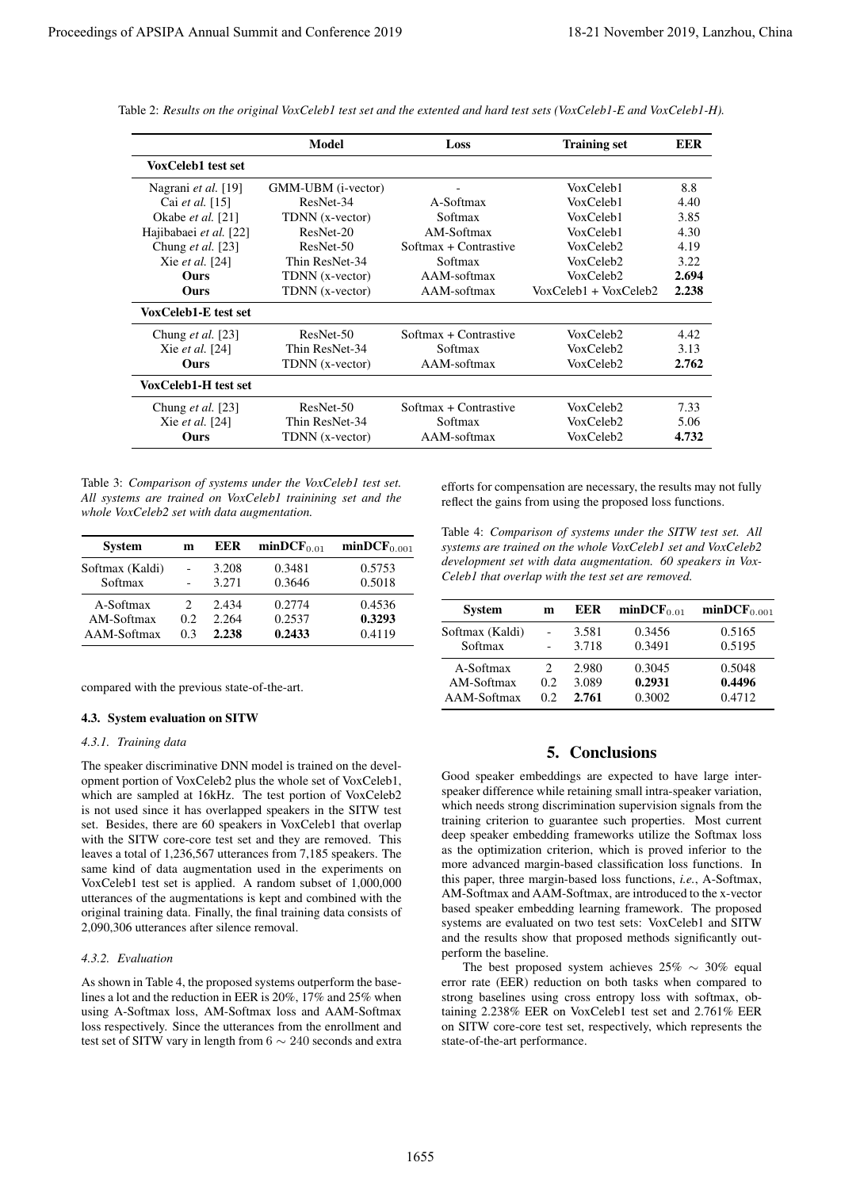|                                                                                                                                                                                                                                                                                                                                                                                                                                                                                                                                                                                                                                                                                                                                                                                                                                                                                                                                                                                                     |                                                      |                | <b>Model</b>                      |                                                                                                                                                                                                                                                                                                                                                                                                                                                                                                                                                                                                                                                                                                                                                                                                                                                                                                                                                                                                                | Loss                                                    |                          | <b>Training set</b>     |                            | <b>EER</b>                 |
|-----------------------------------------------------------------------------------------------------------------------------------------------------------------------------------------------------------------------------------------------------------------------------------------------------------------------------------------------------------------------------------------------------------------------------------------------------------------------------------------------------------------------------------------------------------------------------------------------------------------------------------------------------------------------------------------------------------------------------------------------------------------------------------------------------------------------------------------------------------------------------------------------------------------------------------------------------------------------------------------------------|------------------------------------------------------|----------------|-----------------------------------|----------------------------------------------------------------------------------------------------------------------------------------------------------------------------------------------------------------------------------------------------------------------------------------------------------------------------------------------------------------------------------------------------------------------------------------------------------------------------------------------------------------------------------------------------------------------------------------------------------------------------------------------------------------------------------------------------------------------------------------------------------------------------------------------------------------------------------------------------------------------------------------------------------------------------------------------------------------------------------------------------------------|---------------------------------------------------------|--------------------------|-------------------------|----------------------------|----------------------------|
|                                                                                                                                                                                                                                                                                                                                                                                                                                                                                                                                                                                                                                                                                                                                                                                                                                                                                                                                                                                                     | VoxCeleb1 test set                                   |                |                                   |                                                                                                                                                                                                                                                                                                                                                                                                                                                                                                                                                                                                                                                                                                                                                                                                                                                                                                                                                                                                                |                                                         |                          |                         |                            |                            |
|                                                                                                                                                                                                                                                                                                                                                                                                                                                                                                                                                                                                                                                                                                                                                                                                                                                                                                                                                                                                     | Nagrani et al. [19]                                  |                | GMM-UBM (i-vector)                |                                                                                                                                                                                                                                                                                                                                                                                                                                                                                                                                                                                                                                                                                                                                                                                                                                                                                                                                                                                                                |                                                         | VoxCeleb1                |                         |                            | 8.8                        |
|                                                                                                                                                                                                                                                                                                                                                                                                                                                                                                                                                                                                                                                                                                                                                                                                                                                                                                                                                                                                     | Cai et al. [15]                                      |                | ResNet-34                         |                                                                                                                                                                                                                                                                                                                                                                                                                                                                                                                                                                                                                                                                                                                                                                                                                                                                                                                                                                                                                | A-Softmax<br>Softmax                                    |                          | VoxCeleb1<br>VoxCeleb1  |                            | 4.40<br>3.85               |
|                                                                                                                                                                                                                                                                                                                                                                                                                                                                                                                                                                                                                                                                                                                                                                                                                                                                                                                                                                                                     | Okabe et al. [21]<br>Hajibabaei et al. [22]          |                | TDNN (x-vector)<br>ResNet-20      |                                                                                                                                                                                                                                                                                                                                                                                                                                                                                                                                                                                                                                                                                                                                                                                                                                                                                                                                                                                                                | AM-Softmax                                              | VoxCeleb1                |                         |                            | 4.30                       |
|                                                                                                                                                                                                                                                                                                                                                                                                                                                                                                                                                                                                                                                                                                                                                                                                                                                                                                                                                                                                     | Chung et al. [23]<br>Xie et al. [24]<br>Ours<br>Ours |                | ResNet-50                         |                                                                                                                                                                                                                                                                                                                                                                                                                                                                                                                                                                                                                                                                                                                                                                                                                                                                                                                                                                                                                | Softmax + Contrastive                                   | VoxCeleb2                |                         |                            | 4.19<br>3.22               |
|                                                                                                                                                                                                                                                                                                                                                                                                                                                                                                                                                                                                                                                                                                                                                                                                                                                                                                                                                                                                     |                                                      |                | Thin ResNet-34<br>TDNN (x-vector) |                                                                                                                                                                                                                                                                                                                                                                                                                                                                                                                                                                                                                                                                                                                                                                                                                                                                                                                                                                                                                | Softmax<br>AAM-softmax                                  |                          | VoxCeleb2<br>VoxCeleb2  |                            | 2.694                      |
|                                                                                                                                                                                                                                                                                                                                                                                                                                                                                                                                                                                                                                                                                                                                                                                                                                                                                                                                                                                                     |                                                      |                | TDNN (x-vector)                   |                                                                                                                                                                                                                                                                                                                                                                                                                                                                                                                                                                                                                                                                                                                                                                                                                                                                                                                                                                                                                | AAM-softmax                                             | VoxCeleb1 + VoxCeleb2    |                         |                            | 2.238                      |
|                                                                                                                                                                                                                                                                                                                                                                                                                                                                                                                                                                                                                                                                                                                                                                                                                                                                                                                                                                                                     | VoxCeleb1-E test set                                 |                |                                   |                                                                                                                                                                                                                                                                                                                                                                                                                                                                                                                                                                                                                                                                                                                                                                                                                                                                                                                                                                                                                |                                                         |                          |                         |                            |                            |
|                                                                                                                                                                                                                                                                                                                                                                                                                                                                                                                                                                                                                                                                                                                                                                                                                                                                                                                                                                                                     | Chung et al. [23]<br>Xie et al. [24]                 |                | ResNet-50<br>Thin ResNet-34       |                                                                                                                                                                                                                                                                                                                                                                                                                                                                                                                                                                                                                                                                                                                                                                                                                                                                                                                                                                                                                | Softmax + Contrastive<br>Softmax                        |                          | VoxCeleb2<br>VoxCeleb2  |                            | 4.42<br>3.13               |
|                                                                                                                                                                                                                                                                                                                                                                                                                                                                                                                                                                                                                                                                                                                                                                                                                                                                                                                                                                                                     | Ours                                                 |                | TDNN (x-vector)                   |                                                                                                                                                                                                                                                                                                                                                                                                                                                                                                                                                                                                                                                                                                                                                                                                                                                                                                                                                                                                                | AAM-softmax                                             | VoxCeleb2                |                         |                            | 2.762                      |
|                                                                                                                                                                                                                                                                                                                                                                                                                                                                                                                                                                                                                                                                                                                                                                                                                                                                                                                                                                                                     | VoxCeleb1-H test set                                 |                |                                   |                                                                                                                                                                                                                                                                                                                                                                                                                                                                                                                                                                                                                                                                                                                                                                                                                                                                                                                                                                                                                |                                                         |                          |                         |                            |                            |
|                                                                                                                                                                                                                                                                                                                                                                                                                                                                                                                                                                                                                                                                                                                                                                                                                                                                                                                                                                                                     | Chung et al. $[23]$                                  |                | ResNet-50                         |                                                                                                                                                                                                                                                                                                                                                                                                                                                                                                                                                                                                                                                                                                                                                                                                                                                                                                                                                                                                                | Softmax + Contrastive                                   |                          | VoxCeleb2               |                            | 7.33                       |
|                                                                                                                                                                                                                                                                                                                                                                                                                                                                                                                                                                                                                                                                                                                                                                                                                                                                                                                                                                                                     | Xie et al. [24]<br><b>Ours</b>                       |                | Thin ResNet-34<br>TDNN (x-vector) |                                                                                                                                                                                                                                                                                                                                                                                                                                                                                                                                                                                                                                                                                                                                                                                                                                                                                                                                                                                                                | Softmax<br>AAM-softmax                                  |                          | VoxCeleb2<br>VoxCeleb2  |                            | 5.06<br>4.732              |
| Softmax<br>A-Softmax                                                                                                                                                                                                                                                                                                                                                                                                                                                                                                                                                                                                                                                                                                                                                                                                                                                                                                                                                                                | $\blacksquare$<br>2                                  | 3.271<br>2.434 | 0.3646<br>0.2774                  | 0.5018<br>0.4536                                                                                                                                                                                                                                                                                                                                                                                                                                                                                                                                                                                                                                                                                                                                                                                                                                                                                                                                                                                               | Celeb1 that overlap with the test set are removed.      | m                        | EER                     |                            |                            |
| AM-Softmax                                                                                                                                                                                                                                                                                                                                                                                                                                                                                                                                                                                                                                                                                                                                                                                                                                                                                                                                                                                          | 0.2                                                  | 2.264          | 0.2537                            | 0.3293                                                                                                                                                                                                                                                                                                                                                                                                                                                                                                                                                                                                                                                                                                                                                                                                                                                                                                                                                                                                         | <b>System</b>                                           |                          |                         | $minDCF_{0.01}$            | $minDCF_{0.001}$           |
| AAM-Softmax                                                                                                                                                                                                                                                                                                                                                                                                                                                                                                                                                                                                                                                                                                                                                                                                                                                                                                                                                                                         | 0.3                                                  | 2.238          | 0.2433                            | 0.4119                                                                                                                                                                                                                                                                                                                                                                                                                                                                                                                                                                                                                                                                                                                                                                                                                                                                                                                                                                                                         | Softmax (Kaldi)<br>Softmax                              | $\overline{\phantom{a}}$ | 3.581<br>3.718          | 0.3456<br>0.3491           | 0.5165<br>0.5195           |
| compared with the previous state-of-the-art.                                                                                                                                                                                                                                                                                                                                                                                                                                                                                                                                                                                                                                                                                                                                                                                                                                                                                                                                                        |                                                      |                |                                   |                                                                                                                                                                                                                                                                                                                                                                                                                                                                                                                                                                                                                                                                                                                                                                                                                                                                                                                                                                                                                | A-Softmax<br>AM-Softmax<br>AAM-Softmax                  | 2<br>0.2<br>0.2          | 2.980<br>3.089<br>2.761 | 0.3045<br>0.2931<br>0.3002 | 0.5048<br>0.4496<br>0.4712 |
| 4.3. System evaluation on SITW                                                                                                                                                                                                                                                                                                                                                                                                                                                                                                                                                                                                                                                                                                                                                                                                                                                                                                                                                                      |                                                      |                |                                   |                                                                                                                                                                                                                                                                                                                                                                                                                                                                                                                                                                                                                                                                                                                                                                                                                                                                                                                                                                                                                |                                                         |                          |                         |                            |                            |
| 4.3.1. Training data                                                                                                                                                                                                                                                                                                                                                                                                                                                                                                                                                                                                                                                                                                                                                                                                                                                                                                                                                                                |                                                      |                |                                   |                                                                                                                                                                                                                                                                                                                                                                                                                                                                                                                                                                                                                                                                                                                                                                                                                                                                                                                                                                                                                |                                                         |                          |                         | 5. Conclusions             |                            |
| The speaker discriminative DNN model is trained on the devel-<br>opment portion of VoxCeleb2 plus the whole set of VoxCeleb1,<br>which are sampled at 16kHz. The test portion of VoxCeleb2<br>is not used since it has overlapped speakers in the SITW test<br>set. Besides, there are 60 speakers in VoxCeleb1 that overlap<br>with the SITW core-core test set and they are removed. This<br>leaves a total of 1,236,567 utterances from 7,185 speakers. The<br>same kind of data augmentation used in the experiments on<br>VoxCeleb1 test set is applied. A random subset of 1,000,000<br>utterances of the augmentations is kept and combined with the<br>original training data. Finally, the final training data consists of<br>2,090,306 utterances after silence removal.<br>4.3.2. Evaluation<br>As shown in Table 4, the proposed systems outperform the base-<br>lines a lot and the reduction in EER is 20%, 17% and 25% when<br>using A-Softmax loss, AM-Softmax loss and AAM-Softmax |                                                      |                |                                   | Good speaker embeddings are expected to have large inter-<br>speaker difference while retaining small intra-speaker variation,<br>which needs strong discrimination supervision signals from the<br>training criterion to guarantee such properties. Most current<br>deep speaker embedding frameworks utilize the Softmax loss<br>as the optimization criterion, which is proved inferior to the<br>more advanced margin-based classification loss functions. In<br>this paper, three margin-based loss functions, i.e., A-Softmax,<br>AM-Softmax and AAM-Softmax, are introduced to the x-vector<br>based speaker embedding learning framework. The proposed<br>systems are evaluated on two test sets: VoxCeleb1 and SITW<br>and the results show that proposed methods significantly out-<br>perform the baseline.<br>The best proposed system achieves $25\% \sim 30\%$ equal<br>error rate (EER) reduction on both tasks when compared to<br>strong baselines using cross entropy loss with softmax, ob- |                                                         |                          |                         |                            |                            |
|                                                                                                                                                                                                                                                                                                                                                                                                                                                                                                                                                                                                                                                                                                                                                                                                                                                                                                                                                                                                     |                                                      |                |                                   |                                                                                                                                                                                                                                                                                                                                                                                                                                                                                                                                                                                                                                                                                                                                                                                                                                                                                                                                                                                                                | taining 2.238% EER on VoxCeleb1 test set and 2.761% EER |                          |                         |                            |                            |

| <b>System</b>              | m   | EER            | $minDCF_{0.01}$  | $minDCF_{0.001}$ |
|----------------------------|-----|----------------|------------------|------------------|
| Softmax (Kaldi)<br>Softmax |     | 3.208<br>3.271 | 0.3481<br>0.3646 | 0.5753<br>0.5018 |
| A-Softmax                  |     | 2.434          | 0.2774           | 0.4536           |
| AM-Softmax                 | 0.2 | 2.264          | 0.2537           | 0.3293           |
| AAM-Softmax                | 03  | 2.238          | 0.2433           | 0.4119           |

#### 4.3. System evaluation on SITW

#### *4.3.1. Training data*

#### *4.3.2. Evaluation*

Table 4: *Comparison of systems under the SITW test set. All systems are trained on the whole VoxCeleb1 set and VoxCeleb2 development set with data augmentation. 60 speakers in Vox-Celeb1 that overlap with the test set are removed.*

| <b>System</b>   | m   | EER   | $minDCF_{0.01}$ | $minDCF_{0.001}$ |
|-----------------|-----|-------|-----------------|------------------|
| Softmax (Kaldi) |     | 3.581 | 0.3456          | 0.5165           |
| Softmax         |     | 3.718 | 0.3491          | 0.5195           |
| A-Softmax       | 2   | 2.980 | 0.3045          | 0.5048           |
| AM-Softmax      | 0.2 | 3.089 | 0.2931          | 0.4496           |
| AAM-Softmax     | 02  | 2.761 | 0.3002          | 0.4712           |

## 5. Conclusions